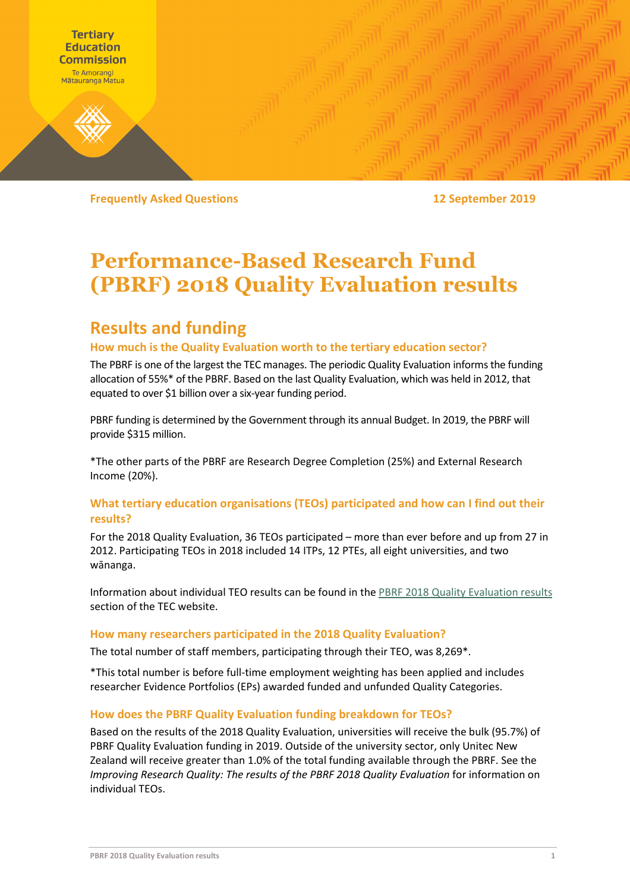

**Frequently Asked Questions 12 September 2019**

# **Performance-Based Research Fund (PBRF) 2018 Quality Evaluation results**

## **Results and funding**

## **How much is the Quality Evaluation worth to the tertiary education sector?**

The PBRF is one of the largest the TEC manages. The periodic Quality Evaluation informs the funding allocation of 55%\* of the PBRF. Based on the last Quality Evaluation, which was held in 2012, that equated to over \$1 billion over a six-year funding period.

PBRF funding is determined by the Government through its annual Budget. In 2019, the PBRF will provide \$315 million.

\*The other parts of the PBRF are Research Degree Completion (25%) and External Research Income (20%).

## **What tertiary education organisations (TEOs) participated and how can I find out their results?**

For the 2018 Quality Evaluation, 36 TEOs participated – more than ever before and up from 27 in 2012. Participating TEOs in 2018 included 14 ITPs, 12 PTEs, all eight universities, and two wānanga.

Information about individual TEO results can be found in the PBRF 2018 [Quality Evaluation results](https://www.tec.govt.nz/funding/funding-and-performance/funding/fund-finder/performance-based-research-fund/2018-quality-evaluation/) section of the TEC website.

#### **How many researchers participated in the 2018 Quality Evaluation?**

The total number of staff members, participating through their TEO, was 8,269\*.

\*This total number is before full-time employment weighting has been applied and includes researcher Evidence Portfolios (EPs) awarded funded and unfunded Quality Categories.

#### **How does the PBRF Quality Evaluation funding breakdown for TEOs?**

Based on the results of the 2018 Quality Evaluation, universities will receive the bulk (95.7%) of PBRF Quality Evaluation funding in 2019. Outside of the university sector, only Unitec New Zealand will receive greater than 1.0% of the total funding available through the PBRF. See the *Improving Research Quality: The results of the PBRF 2018 Quality Evaluation* for information on individual TEOs.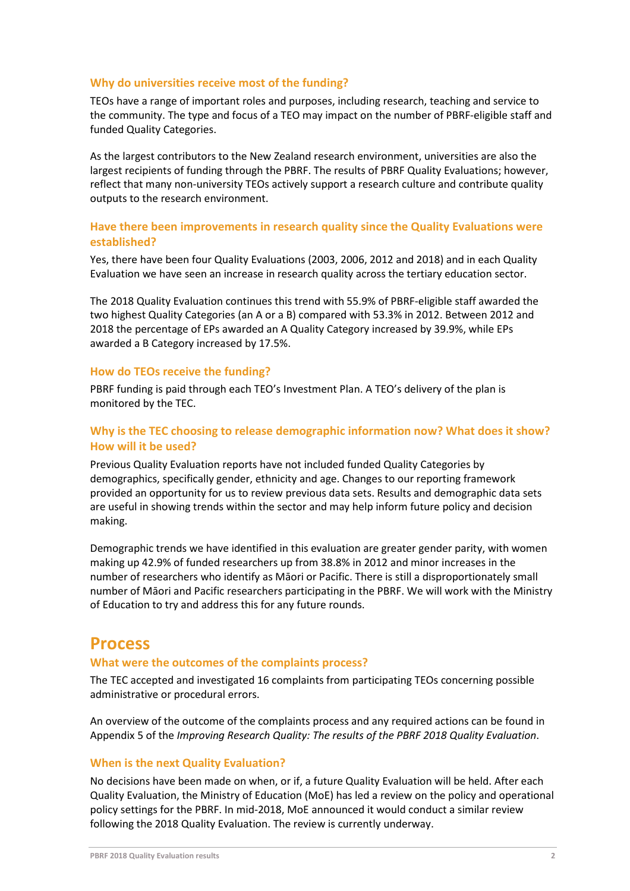#### **Why do universities receive most of the funding?**

TEOs have a range of important roles and purposes, including research, teaching and service to the community. The type and focus of a TEO may impact on the number of PBRF-eligible staff and funded Quality Categories.

As the largest contributors to the New Zealand research environment, universities are also the largest recipients of funding through the PBRF. The results of PBRF Quality Evaluations; however, reflect that many non-university TEOs actively support a research culture and contribute quality outputs to the research environment.

## **Have there been improvements in research quality since the Quality Evaluations were established?**

Yes, there have been four Quality Evaluations (2003, 2006, 2012 and 2018) and in each Quality Evaluation we have seen an increase in research quality across the tertiary education sector.

The 2018 Quality Evaluation continues this trend with 55.9% of PBRF-eligible staff awarded the two highest Quality Categories (an A or a B) compared with 53.3% in 2012. Between 2012 and 2018 the percentage of EPs awarded an A Quality Category increased by 39.9%, while EPs awarded a B Category increased by 17.5%.

#### **How do TEOs receive the funding?**

PBRF funding is paid through each TEO's Investment Plan. A TEO's delivery of the plan is monitored by the TEC.

## **Why is the TEC choosing to release demographic information now? What does it show? How will it be used?**

Previous Quality Evaluation reports have not included funded Quality Categories by demographics, specifically gender, ethnicity and age. Changes to our reporting framework provided an opportunity for us to review previous data sets. Results and demographic data sets are useful in showing trends within the sector and may help inform future policy and decision making.

Demographic trends we have identified in this evaluation are greater gender parity, with women making up 42.9% of funded researchers up from 38.8% in 2012 and minor increases in the number of researchers who identify as Māori or Pacific. There is still a disproportionately small number of Māori and Pacific researchers participating in the PBRF. We will work with the Ministry of Education to try and address this for any future rounds.

## **Process**

#### **What were the outcomes of the complaints process?**

The TEC accepted and investigated 16 complaints from participating TEOs concerning possible administrative or procedural errors.

An overview of the outcome of the complaints process and any required actions can be found in Appendix 5 of the *Improving Research Quality: The results of the PBRF 2018 Quality Evaluation*.

#### **When is the next Quality Evaluation?**

No decisions have been made on when, or if, a future Quality Evaluation will be held. After each Quality Evaluation, the Ministry of Education (MoE) has led a review on the policy and operational policy settings for the PBRF. In mid-2018, MoE announced it would conduct a similar review following the 2018 Quality Evaluation. The review is currently underway.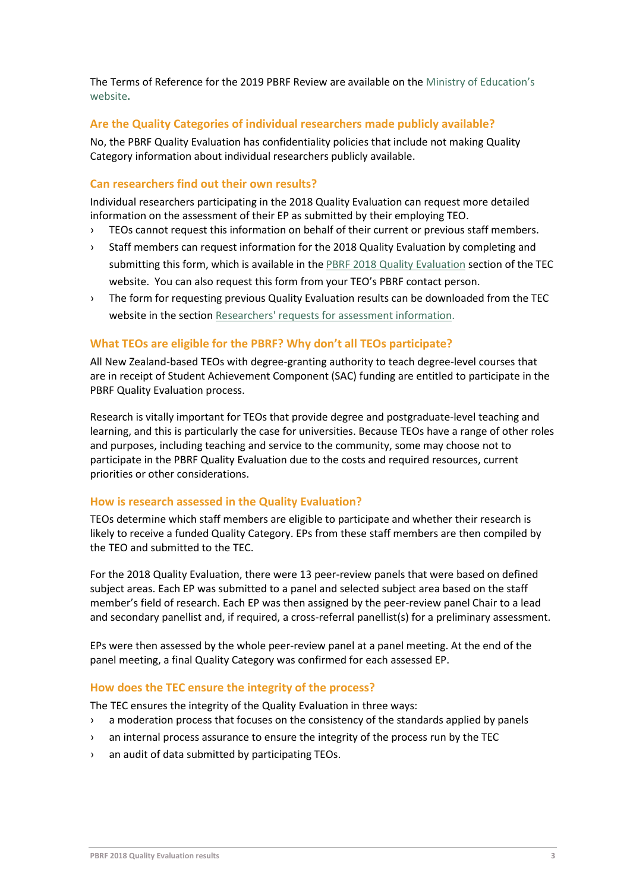The Terms of Reference for the 2019 PBRF Review are available on the Ministry of Education's website**.**

## **Are the Quality Categories of individual researchers made publicly available?**

No, the PBRF Quality Evaluation has confidentiality policies that include not making Quality Category information about individual researchers publicly available.

## **Can researchers find out their own results?**

Individual researchers participating in the 2018 Quality Evaluation can request more detailed information on the assessment of their EP as submitted by their employing TEO.

- › TEOs cannot request this information on behalf of their current or previous staff members.
- › Staff members can request information for the 2018 Quality Evaluation by completing and submitting this form, which is available in the [PBRF 2018 Quality Evaluation](https://www.tec.govt.nz/funding/funding-and-performance/funding/fund-finder/performance-based-research-fund/2018-quality-evaluation/) section of the TEC website. You can also request this form from your TEO's PBRF contact person.
- › The form for requesting previous Quality Evaluation results can be downloaded from the TEC website in the sectio[n Researchers' requests for assessment information.](http://www.tec.govt.nz/funding/funding-and-performance/funding/fund-finder/performance-based-research-fund/)

## **What TEOs are eligible for the PBRF? Why don't all TEOs participate?**

All New Zealand-based TEOs with degree-granting authority to teach degree-level courses that are in receipt of Student Achievement Component (SAC) funding are entitled to participate in the PBRF Quality Evaluation process.

Research is vitally important for TEOs that provide degree and postgraduate-level teaching and learning, and this is particularly the case for universities. Because TEOs have a range of other roles and purposes, including teaching and service to the community, some may choose not to participate in the PBRF Quality Evaluation due to the costs and required resources, current priorities or other considerations.

## **How is research assessed in the Quality Evaluation?**

TEOs determine which staff members are eligible to participate and whether their research is likely to receive a funded Quality Category. EPs from these staff members are then compiled by the TEO and submitted to the TEC.

For the 2018 Quality Evaluation, there were 13 peer-review panels that were based on defined subject areas. Each EP was submitted to a panel and selected subject area based on the staff member's field of research. Each EP was then assigned by the peer-review panel Chair to a lead and secondary panellist and, if required, a cross-referral panellist(s) for a preliminary assessment.

EPs were then assessed by the whole peer-review panel at a panel meeting. At the end of the panel meeting, a final Quality Category was confirmed for each assessed EP.

## **How does the TEC ensure the integrity of the process?**

The TEC ensures the integrity of the Quality Evaluation in three ways:

- › a moderation process that focuses on the consistency of the standards applied by panels
- › an internal process assurance to ensure the integrity of the process run by the TEC
- › an audit of data submitted by participating TEOs.